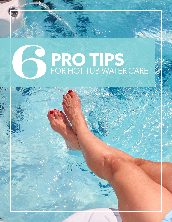# **PRO TIPS**<br>FOR HOT TUB WATER CARE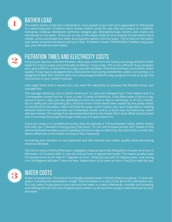

#### **BATHER LOAD**

The bather load in a hot tub is tremendous. Four people in your hot tub is equivalent to 200 people in a swimming pool. If bathers don't shower before using the spa, they are using it as a bathtub. Hairspray, makeup, deodorant, perfume, cologne, gel, detergents/soap, lotions, and creams are introduced to the water. Those are on top of the sweat, body oil and residual human waste (fecal matter, urine and blood) that often accompanies bathers into the water. This is hard on the water, your water treatment products and your filter. If bathers shower THOROUGHLY before using your spa, your life will be much better.



#### FILTRATION TIMES AND ELECTRICITY COSTS <sup>2</sup>

Ensure your spa has sufficient filtration. Most spas come from the factory pre-programmed to filter water for 4 hours a day, and some with as little as 1 hour a day. This is not sufficient. If you program your spa to filter 6, or even 8 hours a day, you will use fewer chemicals and have much better water quality. If your spa is equipped with a low-volume hush pump (sometimes called a circ pump), it is designed to filter 24/7, and if it does not come programmed this way, program it to do so as per the instructions in your owner's manual.

One might think that it would cost a lot more for electricity to increase the filtration times, but consider this:

The average electricity cost in North America is 12 cents per kilowatt hour. That means that if a 1-horsepower pump runs for 1 hour, it uses 12 cents of electricity. If you filter water 6 hours a day, versus 4 hours a day, you are spending an extra 24 cents a day on electricity, or \$7.30 a month. But in reality you are spending less, because much of the waste heat created by the pump motor is transferred to the water, which will heat the water, which means your spa's large electric heating element doesn't turn on as often as it otherwise would, and as a result uses less electricity, which will save money. The savings from decreased demand on the heater don't quite offset the increased cost of running the pumps for longer times, but it is quite close to it.

If you are using a circ pump/hush pump, they are typically a 1/5 horsepower motor, which means that they use 1 kilowatt of energy every five hours. To run one of these pumps 24/7, based on the aforementioned numbers, you're spending 58 cents a day on electricity, less than \$18 a month, less what's offset due to the heater turning on less frequently.

Increasing your filtration is not expensive and will improve your water quality while decreasing chemical demand.

The cost to heat a freshly-filled spa is negligible. A typical spa holds 400 gallons of water and has a 5 kW heater. At 12 cents a kWh, it costs 60 cents an hour to operate the heater. The heater usually raises the temperature at the rate of 7 degrees an hour. Filling the spa with 55 degree water, and raising it to 104 degrees will take 7 hours to heat. Seven hours at 60 cents an hour is \$4.20 to heat the spa.



#### WATER COSTS

Water is inexpensive. The cost of municipally supplied water in North America is about 1.5 cents per gallon, including the wastewater charge. That translates to a cost of just \$6 to fill a 400-gallon spa. So if you have a huge party in your spa and the water is a mess afterwards, consider just dumping and refilling the tub, the cost of replacing the water is a lot less than trying to add chemicals to save the water.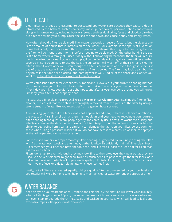

#### **FILTER CARE**

Clean filter cartridges are essential to successful spa water care because they capture debris introduced by the bathers, such as hairspray, makeup, deodorant, perfume, lotions and creams, along with human waste, including body oils, sweat, and residual urine, feces and blood. A dirty hot tub filter can strain your pump, cause the spa to shut down, and cause cloudy and smelly water.

How often should a filter be cleaned? The answer depends on several factors, but the biggest one is the amount of debris that is introduced to the water. For example, if the spa is at a vacation home that is only used once a month by two people who shower thoroughly before using the spa, the filter will go months and months before needing to be cleaned. On the other hand, if the spa is at a home where a family of 5 uses it daily without showering beforehand, the filter will require much more frequent cleaning. As an example, if on the first day of using a brand-new filter a bather covered in sunscreen were to use the spa, the sunscreen will wash off of their skin and clog the filter so that it won't work well. Even though the filter is brand new, and even though it is the first day of use, the water will go cloudy because the filter is soiled. The filter may look clean, but the tiny holes in the fabric are blocked and nothing works well. Add all of the shock and clarifier you want to, if the filter is dirty, your water will remain cloudy.

We've established that filter cleanliness is important. However, if your current cleaning method is to simply rinse your filter with fresh water, that is akin to washing your hair without shampoo. After 1 day you'll know you didn't use shampoo, and after a week everyone around you will know. Similarly, your filter is not properly clean.

Instead, use a filter cleaning product like **Spa Marvel Filter Cleaner**. After soaking the filter in filter cleaner, it is critical that the debris is thoroughly removed from the pleats of the filter by using a strong stream of water like you would get from a garden hose sprayer.

After rinsing your filter, if the fabric does not appear brand new, if there is still discolouration in the pleats or if it still smells dirty, then it is not clean and you need to reevaluate your current filter cleaning techniques. Many people gently and carefully use a pressure washer to quickly and effectively remove the debris after soaking the filter. Keep in mind that a pressure washer has the ability to peel paint from a car, and similarly can damage the fabric on your filter, so use common sense when using a pressure washer. If you do not have access to a pressure washer, the sprayer at the coin-operated car wash works well.

For most spa owners, a proper monthly filter cleaning, augmented by routinely rinsing the filter with fresh water each week and after heavy bather loads, will sufficiently maintain filter cleanliness. But remember, your filter can never be too clean, and it is MUCH easier to keep a filter clean than it is to clean a filter.

Filters don't last forever. Although they may look fine to the naked eye, they wear out as they are used. A one-year-old filter might allow twice as much debris to pass through the filter fabric as it did when it was new, which will impair water quality. Hot tub filters ought to be replaced after at most 1 year of use, or a dozen cleanings, whichever comes first.

Lastly, not all filters are created equally. Using a quality filter recommended by your professional spa retailer will yield better results, helping to maintain clearer water for longer periods of time.



### WATER BALANCE

Keep an eye on your water balance. Bromine and chlorine, by their nature, will lower your alkalinity. When alkalinity gets below 80ppm, the water becomes acidic and can cause itchy skin, rashes and can even start to degrade the O-rings, seals and gaskets in your spa, which will lead to leaks and expensive repairs. Keep your water balanced.